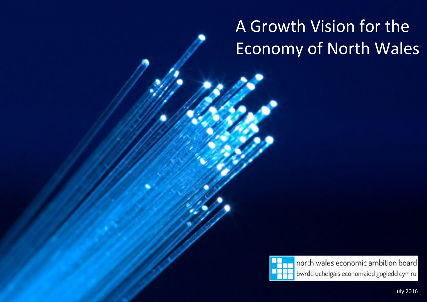# A Growth Vision for the Economy of North Wales



north wales economic ambition board bwrdd uchelgais economaidd gogledd cymru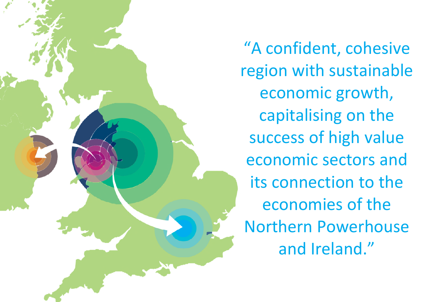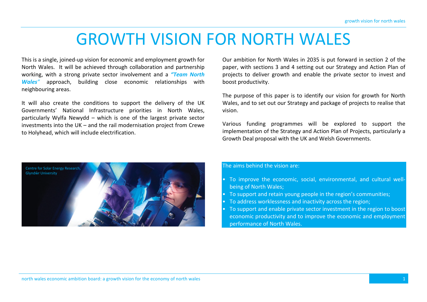# GROWTH VISION FOR NORTH WALES

This is a single, joined-up vision for economic and employment growth for North Wales. It will be achieved through collaboration and partnership working, with a strong private sector involvement and a *"Team North Wales"* approach, building close economic relationships with neighbouring areas.

It will also create the conditions to support the delivery of the UK Governments' National Infrastructure priorities in North Wales, particularly Wylfa Newydd – which is one of the largest private sector investments into the UK – and the rail modernisation project from Crewe to Holyhead, which will include electrification.

Our ambition for North Wales in 2035 is put forward in section 2 of the paper, with sections 3 and 4 setting out our Strategy and Action Plan of projects to deliver growth and enable the private sector to invest and boost productivity.

The purpose of this paper is to identify our vision for growth for North Wales, and to set out our Strategy and package of projects to realise that vision.

Various funding programmes will be explored to support the implementation of the Strategy and Action Plan of Projects, particularly a Growth Deal proposal with the UK and Welsh Governments.



The aims behind the vision are:

- To improve the economic, social, environmental, and cultural wellbeing of North Wales;
- To support and retain young people in the region's communities;
- To address worklessness and inactivity across the region;
- To support and enable private sector investment in the region to boost economic productivity and to improve the economic and employment performance of North Wales.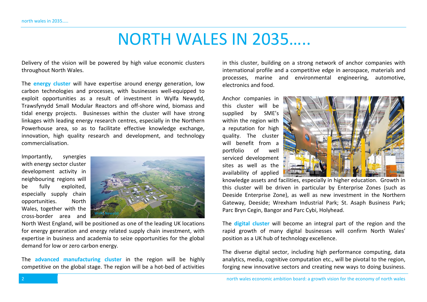# NORTH WALES IN 2035…..

Delivery of the vision will be powered by high value economic clusters throughout North Wales.

The **energy cluster** will have expertise around energy generation, low carbon technologies and processes, with businesses well-equipped to exploit opportunities as a result of investment in Wylfa Newydd, Trawsfynydd Small Modular Reactors and off-shore wind, biomass and tidal energy projects. Businesses within the cluster will have strong linkages with leading energy research centres, especially in the Northern Powerhouse area, so as to facilitate effective knowledge exchange, innovation, high quality research and development, and technology commercialisation.

Importantly, synergies with energy sector cluster development activity in neighbouring regions will be fully exploited, especially supply chain opportunities. North Wales, together with the cross-border area and



North West England, will be positioned as one of the leading UK locations for energy generation and energy related supply chain investment, with expertise in business and academia to seize opportunities for the global demand for low or zero carbon energy.

The **advanced manufacturing cluster** in the region will be highly competitive on the global stage. The region will be a hot-bed of activities in this cluster, building on a strong network of anchor companies with international profile and a competitive edge in aerospace, materials and processes, marine and environmental engineering, automotive, electronics and food.

Anchor companies in this cluster will be supplied by SME's within the region with a reputation for high quality. The cluster will benefit from a portfolio of well serviced development sites as well as the availability of applied



knowledge assets and facilities, especially in higher education. Growth in this cluster will be driven in particular by Enterprise Zones (such as Deeside Enterprise Zone), as well as new investment in the Northern Gateway, Deeside; Wrexham Industrial Park; St. Asaph Business Park; Parc Bryn Cegin, Bangor and Parc Cybi, Holyhead.

The **digital cluster** will become an integral part of the region and the rapid growth of many digital businesses will confirm North Wales' position as a UK hub of technology excellence.

The diverse digital sector, including high performance computing, data analytics, media, cognitive computation etc., will be pivotal to the region, forging new innovative sectors and creating new ways to doing business.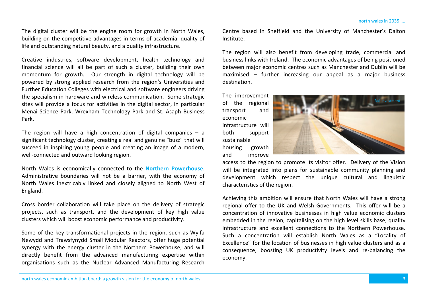The digital cluster will be the engine room for growth in North Wales, building on the competitive advantages in terms of academia, quality of life and outstanding natural beauty, and a quality infrastructure.

Creative industries, software development, health technology and financial science will all be part of such a cluster, building their own momentum for growth. Our strength in digital technology will be powered by strong applied research from the region's Universities and Further Education Colleges with electrical and software engineers driving the specialism in hardware and wireless communication. Some strategic sites will provide a focus for activities in the digital sector, in particular Menai Science Park, Wrexham Technology Park and St. Asaph Business Park.

The region will have a high concentration of digital companies – a significant technology cluster, creating a real and genuine "buzz" that will succeed in inspiring young people and creating an image of a modern, well-connected and outward looking region.

North Wales is economically connected to the **Northern Powerhouse**. Administrative boundaries will not be a barrier, with the economy of North Wales inextricably linked and closely aligned to North West of England.

Cross border collaboration will take place on the delivery of strategic projects, such as transport, and the development of key high value clusters which will boost economic performance and productivity.

Some of the key transformational projects in the region, such as Wylfa Newydd and Trawsfynydd Small Modular Reactors, offer huge potential synergy with the energy cluster in the Northern Powerhouse, and will directly benefit from the advanced manufacturing expertise within organisations such as the Nuclear Advanced Manufacturing Research Centre based in Sheffield and the University of Manchester's Dalton Institute.

The region will also benefit from developing trade, commercial and business links with Ireland. The economic advantages of being positioned between major economic centres such as Manchester and Dublin will be maximised – further increasing our appeal as a major business destination.

The improvement of the regional transport and economic infrastructure will both support sustainable housing growth and improve



access to the region to promote its visitor offer. Delivery of the Vision will be integrated into plans for sustainable community planning and development which respect the unique cultural and linguistic characteristics of the region.

Achieving this ambition will ensure that North Wales will have a strong regional offer to the UK and Welsh Governments. This offer will be a concentration of innovative businesses in high value economic clusters embedded in the region, capitalising on the high level skills base, quality infrastructure and excellent connections to the Northern Powerhouse. Such a concentration will establish North Wales as a "Locality of Excellence" for the location of businesses in high value clusters and as a consequence, boosting UK productivity levels and re-balancing the economy.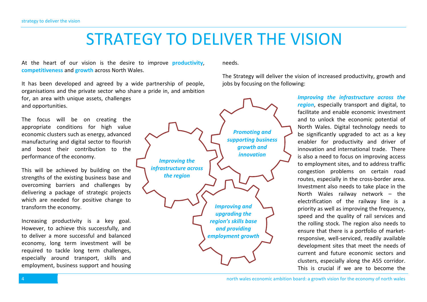# STRATEGY TO DELIVER THE VISION

At the heart of our vision is the desire to improve **productivity**, **competitiveness** and **growth** across North Wales.

It has been developed and agreed by a wide partnership of people, organisations and the private sector who share a pride in, and ambition for, an area with unique assets, challenges and opportunities.

The focus will be on creating the appropriate conditions for high value economic clusters such as energy, advanced manufacturing and digital sector to flourish and boost their contribution to the performance of the economy.

This will be achieved by building on the strengths of the existing business base and overcoming barriers and challenges by delivering a package of strategic projects which are needed for positive change to transform the economy.

Increasing productivity is a key goal. However, to achieve this successfully, and to deliver a more successful and balanced economy, long term investment will be required to tackle long term challenges, especially around transport, skills and employment, business support and housing



needs.

The Strategy will deliver the vision of increased productivity, growth and jobs by focusing on the following:

> *Improving the infrastructure across the region*, especially transport and digital, to facilitate and enable economic investment and to unlock the economic potential of North Wales. Digital technology needs to be significantly upgraded to act as a key enabler for productivity and driver of innovation and international trade. There is also a need to focus on improving access to employment sites, and to address traffic congestion problems on certain road routes, especially in the cross-border area. Investment also needs to take place in the North Wales railway network – the electrification of the railway line is a priority as well as improving the frequency, speed and the quality of rail services and the rolling stock. The region also needs to ensure that there is a portfolio of marketresponsive, well-serviced, readily available development sites that meet the needs of current and future economic sectors and clusters, especially along the A55 corridor. This is crucial if we are to become the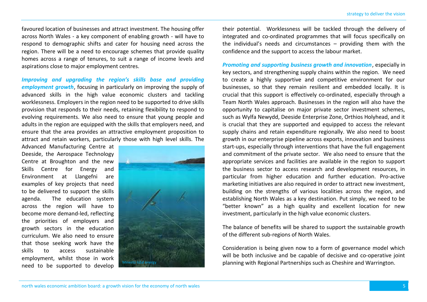favoured location of businesses and attract investment. The housing offer across North Wales - a key component of enabling growth - will have to respond to demographic shifts and cater for housing need across the region. There will be a need to encourage schemes that provide quality homes across a range of tenures, to suit a range of income levels and aspirations close to major employment centres.

*Improving and upgrading the region's skills base and providing employment growth*, focusing in particularly on improving the supply of advanced skills in the high value economic clusters and tackling worklessness. Employers in the region need to be supported to drive skills provision that responds to their needs, retaining flexibility to respond to evolving requirements. We also need to ensure that young people and adults in the region are equipped with the skills that employers need, and ensure that the area provides an attractive employment proposition to attract and retain workers, particularly those with high level skills. The

Advanced Manufacturing Centre at Deeside, the Aerospace Technology Centre at Broughton and the new Skills Centre for Energy and Environment at Llangefni are examples of key projects that need to be delivered to support the skills agenda. The education system across the region will have to become more demand-led, reflecting the priorities of employers and growth sectors in the education curriculum. We also need to ensure that those seeking work have the skills to access sustainable employment, whilst those in work need to be supported to develop



their potential. Worklessness will be tackled through the delivery of integrated and co-ordinated programmes that will focus specifically on the individual's needs and circumstances – providing them with the confidence and the support to access the labour market.

*Promoting and supporting business growth and innovation*, especially in key sectors, and strengthening supply chains within the region. We need to create a highly supportive and competitive environment for our businesses, so that they remain resilient and embedded locally. It is crucial that this support is effectively co-ordinated, especially through a Team North Wales approach. Businesses in the region will also have the opportunity to capitalise on major private sector investment schemes, such as Wylfa Newydd, Deeside Enterprise Zone, Orthios Holyhead, and it is crucial that they are supported and equipped to access the relevant supply chains and retain expenditure regionally. We also need to boost growth in our enterprise pipeline across exports, innovation and business start-ups, especially through interventions that have the full engagement and commitment of the private sector. We also need to ensure that the appropriate services and facilities are available in the region to support the business sector to access research and development resources, in particular from higher education and further education. Pro-active marketing initiatives are also required in order to attract new investment, building on the strengths of various localities across the region, and establishing North Wales as a key destination. Put simply, we need to be "better known" as a high quality and excellent location for new investment, particularly in the high value economic clusters.

The balance of benefits will be shared to support the sustainable growth of the different sub-regions of North Wales.

Consideration is being given now to a form of governance model which will be both inclusive and be capable of decisive and co-operative joint planning with Regional Partnerships such as Cheshire and Warrington.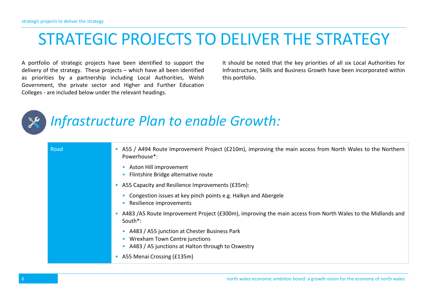# STRATEGIC PROJECTS TO DELIVER THE STRATEGY

A portfolio of strategic projects have been identified to support the delivery of the strategy. These projects – which have all been identified as priorities by a partnership including Local Authorities, Welsh Government, the private sector and Higher and Further Education Colleges - are included below under the relevant headings.

It should be noted that the key priorities of all six Local Authorities for Infrastructure, Skills and Business Growth have been incorporated within this portfolio.



## *Infrastructure Plan to enable Growth:*

| Road | A55 / A494 Route Improvement Project (£210m), improving the main access from North Wales to the Northern<br>Powerhouse*:           |
|------|------------------------------------------------------------------------------------------------------------------------------------|
|      | Aston Hill improvement<br>Flintshire Bridge alternative route                                                                      |
|      | A55 Capacity and Resilience Improvements (£35m):                                                                                   |
|      | Congestion issues at key pinch points e.g. Halkyn and Abergele<br>Resilience improvements                                          |
|      | A483 /A5 Route Improvement Project (£300m), improving the main access from North Wales to the Midlands and<br>South <sup>*</sup> : |
|      | A483 / A55 junction at Chester Business Park<br>Wrexham Town Centre junctions<br>A483 / A5 junctions at Halton through to Oswestry |
|      | A55 Menai Crossing (£135m)                                                                                                         |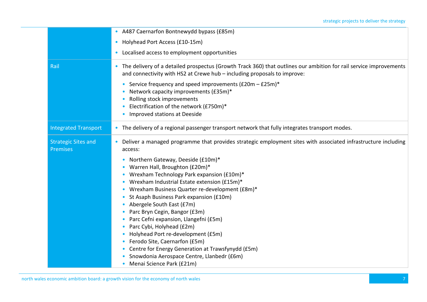|                             | • A487 Caernarfon Bontnewydd bypass (£85m)                                                                                                                                                    |
|-----------------------------|-----------------------------------------------------------------------------------------------------------------------------------------------------------------------------------------------|
|                             | • Holyhead Port Access (£10-15m)                                                                                                                                                              |
|                             | Localised access to employment opportunities<br>$\bullet$                                                                                                                                     |
| Rail                        | The delivery of a detailed prospectus (Growth Track 360) that outlines our ambition for rail service improvements<br>and connectivity with HS2 at Crewe hub - including proposals to improve: |
|                             | Service frequency and speed improvements (£20m - £25m)*                                                                                                                                       |
|                             | Network capacity improvements (£35m)*<br>$\bullet$                                                                                                                                            |
|                             | Rolling stock improvements                                                                                                                                                                    |
|                             | Electrification of the network (£750m)*                                                                                                                                                       |
|                             | Improved stations at Deeside                                                                                                                                                                  |
| <b>Integrated Transport</b> | • The delivery of a regional passenger transport network that fully integrates transport modes.                                                                                               |
| <b>Strategic Sites and</b>  | Deliver a managed programme that provides strategic employment sites with associated infrastructure including                                                                                 |
| Premises                    | access:                                                                                                                                                                                       |
|                             | Northern Gateway, Deeside (£10m)*<br>$\bullet$                                                                                                                                                |
|                             | Warren Hall, Broughton (£20m)*                                                                                                                                                                |
|                             | Wrexham Technology Park expansion (£10m)*<br>$\bullet$                                                                                                                                        |
|                             | Wrexham Industrial Estate extension (£15m)*                                                                                                                                                   |
|                             | Wrexham Business Quarter re-development (£8m)*                                                                                                                                                |
|                             | St Asaph Business Park expansion (£10m)<br>$\bullet$                                                                                                                                          |
|                             | Abergele South East (£7m)                                                                                                                                                                     |
|                             | Parc Bryn Cegin, Bangor (£3m)                                                                                                                                                                 |
|                             | Parc Cefni expansion, Llangefni (£5m)                                                                                                                                                         |
|                             | Parc Cybi, Holyhead (£2m)                                                                                                                                                                     |
|                             | Holyhead Port re-development (£5m)                                                                                                                                                            |
|                             | Ferodo Site, Caernarfon (£5m)                                                                                                                                                                 |
|                             | Centre for Energy Generation at Trawsfynydd (£5m)                                                                                                                                             |
|                             | Snowdonia Aerospace Centre, Llanbedr (£6m)                                                                                                                                                    |
|                             | Menai Science Park (£21m)<br>$\bullet$                                                                                                                                                        |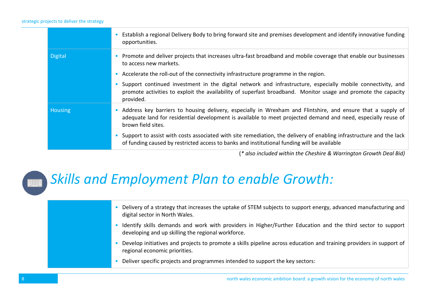#### strategic projects to deliver the strategy

|                | • Establish a regional Delivery Body to bring forward site and premises development and identify innovative funding<br>opportunities.                                                                                                                |
|----------------|------------------------------------------------------------------------------------------------------------------------------------------------------------------------------------------------------------------------------------------------------|
| <b>Digital</b> | • Promote and deliver projects that increases ultra-fast broadband and mobile coverage that enable our businesses<br>to access new markets.                                                                                                          |
|                | • Accelerate the roll-out of the connectivity infrastructure programme in the region.                                                                                                                                                                |
|                | Support continued investment in the digital network and infrastructure, especially mobile connectivity, and<br>promote activities to exploit the availability of superfast broadband. Monitor usage and promote the capacity<br>provided.            |
| Housing        | • Address key barriers to housing delivery, especially in Wrexham and Flintshire, and ensure that a supply of<br>adequate land for residential development is available to meet projected demand and need, especially reuse of<br>brown field sites. |
|                | • Support to assist with costs associated with site remediation, the delivery of enabling infrastructure and the lack<br>of funding caused by restricted access to banks and institutional funding will be available                                 |

(*\* also included within the Cheshire & Warrington Growth Deal Bid)*

#### *Skills and Employment Plan to enable Growth:*

• Delivery of a strategy that increases the uptake of STEM subjects to support energy, advanced manufacturing and digital sector in North Wales.

- Identify skills demands and work with providers in Higher/Further Education and the third sector to support developing and up skilling the regional workforce.
- Develop initiatives and projects to promote a skills pipeline across education and training providers in support of regional economic priorities.
- Deliver specific projects and programmes intended to support the key sectors: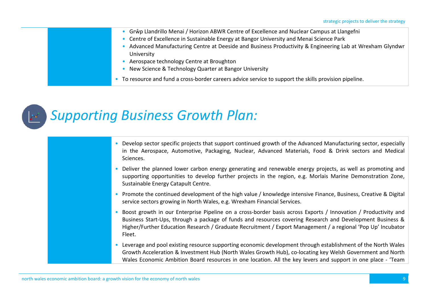- Grŵp Llandrillo Menai / Horizon ABWR Centre of Excellence and Nuclear Campus at Llangefni
- Centre of Excellence in Sustainable Energy at Bangor University and Menai Science Park
- Advanced Manufacturing Centre at Deeside and Business Productivity & Engineering Lab at Wrexham Glyndwr University
- Aerospace technology Centre at Broughton
- New Science & Technology Quarter at Bangor University
- To resource and fund a cross-border careers advice service to support the skills provision pipeline.

### *Supporting Business Growth Plan:*

- Develop sector specific projects that support continued growth of the Advanced Manufacturing sector, especially in the Aerospace, Automotive, Packaging, Nuclear, Advanced Materials, Food & Drink sectors and Medical Sciences.
- Deliver the planned lower carbon energy generating and renewable energy projects, as well as promoting and supporting opportunities to develop further projects in the region, e.g. Morlais Marine Demonstration Zone, Sustainable Energy Catapult Centre.
- Promote the continued development of the high value / knowledge intensive Finance, Business, Creative & Digital service sectors growing in North Wales, e.g. Wrexham Financial Services.
- Boost growth in our Enterprise Pipeline on a cross-border basis across Exports / Innovation / Productivity and Business Start-Ups, through a package of funds and resources covering Research and Development Business & Higher/Further Education Research / Graduate Recruitment / Export Management / a regional 'Pop Up' Incubator Fleet.
- Leverage and pool existing resource supporting economic development through establishment of the North Wales Growth Acceleration & Investment Hub (North Wales Growth Hub), co-locating key Welsh Government and North Wales Economic Ambition Board resources in one location. All the key levers and support in one place - 'Team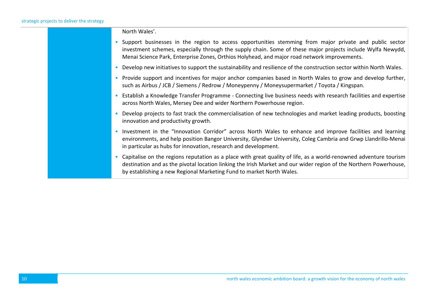North Wales'.

- Support businesses in the region to access opportunities stemming from major private and public sector investment schemes, especially through the supply chain. Some of these major projects include Wylfa Newydd, Menai Science Park, Enterprise Zones, Orthios Holyhead, and major road network improvements.
- Develop new initiatives to support the sustainability and resilience of the construction sector within North Wales.
- Provide support and incentives for major anchor companies based in North Wales to grow and develop further, such as Airbus / JCB / Siemens / Redrow / Moneypenny / Moneysupermarket / Toyota / Kingspan.
- Establish a Knowledge Transfer Programme Connecting live business needs with research facilities and expertise across North Wales, Mersey Dee and wider Northern Powerhouse region.
- Develop projects to fast track the commercialisation of new technologies and market leading products, boosting innovation and productivity growth.
- Investment in the "Innovation Corridor" across North Wales to enhance and improve facilities and learning environments, and help position Bangor University, Glyndwr University, Coleg Cambria and Grwp Llandrillo-Menai in particular as hubs for innovation, research and development.
- Capitalise on the regions reputation as a place with great quality of life, as a world-renowned adventure tourism destination and as the pivotal location linking the Irish Market and our wider region of the Northern Powerhouse, by establishing a new Regional Marketing Fund to market North Wales.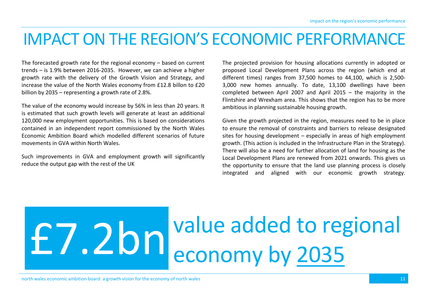# IMPACT ON THE REGION'S ECONOMIC PERFORMANCE

The forecasted growth rate for the regional economy – based on current trends – is 1.9% between 2016-2035. However, we can achieve a higher growth rate with the delivery of the Growth Vision and Strategy, and increase the value of the North Wales economy from £12.8 billon to £20 billion by 2035 – representing a growth rate of 2.8%.

The value of the economy would increase by 56% in less than 20 years. It is estimated that such growth levels will generate at least an additional 120,000 new employment opportunities. This is based on considerations contained in an independent report commissioned by the North Wales Economic Ambition Board which modelled different scenarios of future movements in GVA within North Wales.

Such improvements in GVA and employment growth will significantly reduce the output gap with the rest of the UK

The projected provision for housing allocations currently in adopted or proposed Local Development Plans across the region (which end at different times) ranges from 37,500 homes to 44,100, which is 2,500- 3,000 new homes annually. To date, 13,100 dwellings have been completed between April 2007 and April 2015 – the majority in the Flintshire and Wrexham area. This shows that the region has to be more ambitious in planning sustainable housing growth.

Given the growth projected in the region, measures need to be in place to ensure the removal of constraints and barriers to release designated sites for housing development – especially in areas of high employment growth. (This action is included in the Infrastructure Plan in the Strategy). There will also be a need for further allocation of land for housing as the Local Development Plans are renewed from 2021 onwards. This gives us the opportunity to ensure that the land use planning process is closely integrated and aligned with our economic growth strategy.

# value added to regional £7.2bn economy by 2035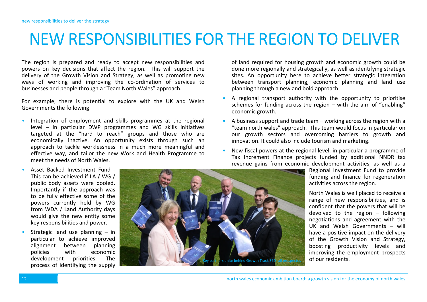## NEW RESPONSIBILITIES FOR THE REGION TO DELIVER

The region is prepared and ready to accept new responsibilities and powers on key decisions that affect the region. This will support the delivery of the Growth Vision and Strategy, as well as promoting new ways of working and improving the co-ordination of services to businesses and people through a "Team North Wales" approach.

For example, there is potential to explore with the UK and Welsh Governments the following:

• Integration of employment and skills programmes at the regional level – in particular DWP programmes and WG skills initiatives targeted at the "hard to reach" groups and those who are economically inactive. An opportunity exists through such an approach to tackle worklessness in a much more meaningful and effective way, and tailor the new Work and Health Programme to meet the needs of North Wales.

of land required for housing growth and economic growth could be done more regionally and strategically, as well as identifying strategic sites. An opportunity here to achieve better strategic integration between transport planning, economic planning and land use planning through a new and bold approach.

- A regional transport authority with the opportunity to prioritise schemes for funding across the region – with the aim of "enabling" economic growth.
- A business support and trade team working across the region with a "team north wales" approach. This team would focus in particular on our growth sectors and overcoming barriers to growth and innovation. It could also include tourism and marketing.
- New fiscal powers at the regional level, in particular a programme of Tax Increment Finance projects funded by additional NNDR tax revenue gains from economic development activities, as well as a

Regional Investment Fund to provide funding and finance for regeneration activities across the region.

North Wales is well placed to receive a range of new responsibilities, and is confident that the powers that will be devolved to the region – following negotiations and agreement with the UK and Welsh Governments – will have a positive impact on the delivery of the Growth Vision and Strategy, boosting productivity levels and improving the employment prospects of our residents.

This can be achieved if LA / WG / public body assets were pooled. Importantly if the approach was to be fully effective some of the powers currently held by WG from WDA / Land Authority days would give the new entity some key responsibilities and power. Strategic land use planning  $-$  in

• Asset Backed Investment Fund -

particular to achieve improved alignment between planning policies with economic development priorities. The process of identifying the supply

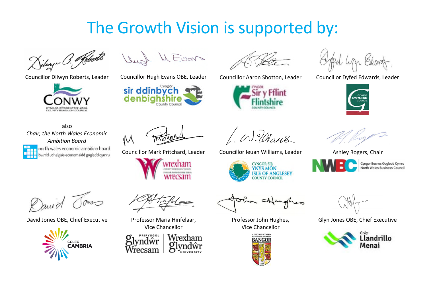# The Growth Vision is supported by:

Dilwyn O. Roberts



Dush M Evans

Councillor Dilwyn Roberts, Leader Councillor Hugh Evans OBE, Leader Councillor Aaron Shotton, Leader Councillor Dyfed Edwards, Leader





W. Utans

Councillor Mark Pritchard, Leader Councillor Ieuan Williams, Leader Ashley Rogers, Chair



Professor John Hughes, Vice Chancellor







Cyngor Busnes Gogledd Cymru North Wales Business Council

Glyn Jones OBE, Chief Executive



also *Chair, the North Wales Economic Ambition Board* north wales economic ambition board bwrdd uchelgais economaidd gogledd cymru

David

David Jones OBE, Chief Executive Professor Maria Hinfelaar,





 $\mathcal{N}$ 

Vice Chancellor



wrexham